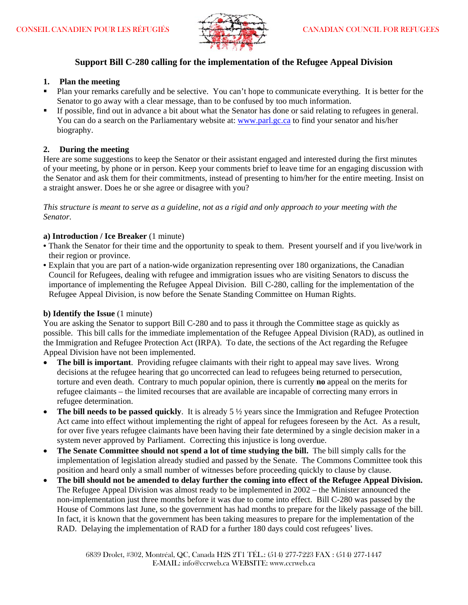

# **Support Bill C-280 calling for the implementation of the Refugee Appeal Division**

# **1. Plan the meeting**

- Plan your remarks carefully and be selective. You can't hope to communicate everything. It is better for the Senator to go away with a clear message, than to be confused by too much information.
- If possible, find out in advance a bit about what the Senator has done or said relating to refugees in general. You can do a search on the Parliamentary website at: www.parl.gc.ca to find your senator and his/her biography.

# **2. During the meeting**

Here are some suggestions to keep the Senator or their assistant engaged and interested during the first minutes of your meeting, by phone or in person. Keep your comments brief to leave time for an engaging discussion with the Senator and ask them for their commitments, instead of presenting to him/her for the entire meeting. Insist on a straight answer. Does he or she agree or disagree with you?

*This structure is meant to serve as a guideline, not as a rigid and only approach to your meeting with the Senator.*

## **a) Introduction / Ice Breaker** (1 minute)

- Thank the Senator for their time and the opportunity to speak to them. Present yourself and if you live/work in their region or province.
- Explain that you are part of a nation-wide organization representing over 180 organizations, the Canadian Council for Refugees, dealing with refugee and immigration issues who are visiting Senators to discuss the importance of implementing the Refugee Appeal Division. Bill C-280, calling for the implementation of the Refugee Appeal Division, is now before the Senate Standing Committee on Human Rights.

## **b) Identify the Issue** (1 minute)

You are asking the Senator to support Bill C-280 and to pass it through the Committee stage as quickly as possible. This bill calls for the immediate implementation of the Refugee Appeal Division (RAD), as outlined in the Immigration and Refugee Protection Act (IRPA). To date, the sections of the Act regarding the Refugee Appeal Division have not been implemented.

- **The bill is important**. Providing refugee claimants with their right to appeal may save lives. Wrong decisions at the refugee hearing that go uncorrected can lead to refugees being returned to persecution, torture and even death. Contrary to much popular opinion, there is currently **no** appeal on the merits for refugee claimants – the limited recourses that are available are incapable of correcting many errors in refugee determination.
- **The bill needs to be passed quickly**. It is already 5  $\frac{1}{2}$  years since the Immigration and Refugee Protection Act came into effect without implementing the right of appeal for refugees foreseen by the Act. As a result, for over five years refugee claimants have been having their fate determined by a single decision maker in a system never approved by Parliament. Correcting this injustice is long overdue.
- **The Senate Committee should not spend a lot of time studying the bill.** The bill simply calls for the implementation of legislation already studied and passed by the Senate. The Commons Committee took this position and heard only a small number of witnesses before proceeding quickly to clause by clause.
- **The bill should not be amended to delay further the coming into effect of the Refugee Appeal Division.**  The Refugee Appeal Division was almost ready to be implemented in 2002 – the Minister announced the non-implementation just three months before it was due to come into effect. Bill C-280 was passed by the House of Commons last June, so the government has had months to prepare for the likely passage of the bill. In fact, it is known that the government has been taking measures to prepare for the implementation of the RAD. Delaying the implementation of RAD for a further 180 days could cost refugees' lives.